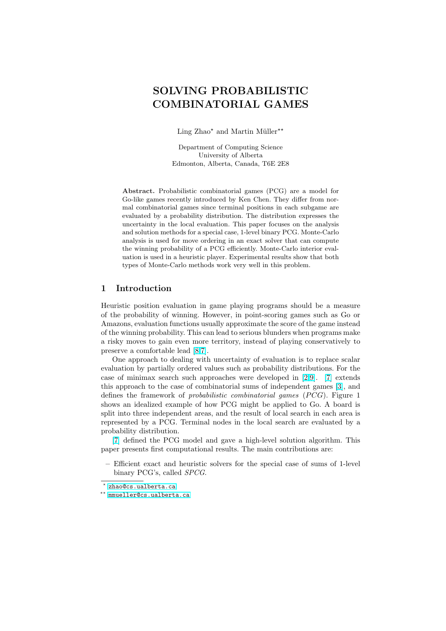# SOLVING PROBABILISTIC COMBINATORIAL GAMES

Ling Zhao<sup>\*</sup> and Martin Müller<sup>\*\*</sup>

Department of Computing Science University of Alberta Edmonton, Alberta, Canada, T6E 2E8

Abstract. Probabilistic combinatorial games (PCG) are a model for Go-like games recently introduced by Ken Chen. They differ from normal combinatorial games since terminal positions in each subgame are evaluated by a probability distribution. The distribution expresses the uncertainty in the local evaluation. This paper focuses on the analysis and solution methods for a special case, 1-level binary PCG. Monte-Carlo analysis is used for move ordering in an exact solver that can compute the winning probability of a PCG efficiently. Monte-Carlo interior evaluation is used in a heuristic player. Experimental results show that both types of Monte-Carlo methods work very well in this problem.

## 1 Introduction

Heuristic position evaluation in game playing programs should be a measure of the probability of winning. However, in point-scoring games such as Go or Amazons, evaluation functions usually approximate the score of the game instead of the winning probability. This can lead to serious blunders when programs make a risky moves to gain even more territory, instead of playing conservatively to preserve a comfortable lead [8,7].

One approach to dealing with uncertainty of evaluation is to replace scalar evaluation by partially ordered values such as probability distributions. For the case of minimax search such approaches were developed in [2,9]. [7] extends this approach to the case of [com](#page-13-0)binatorial sums of independent games [3], and defines the framework of *probabilistic combinatorial games*  $(PCG)$ . Figure 1 shows an idealized example of how PCG might be applied to Go. A board is split into three independent areas, and the result of local sear[ch i](#page-13-0)n e[ac](#page-13-0)h area is represented by a PCG. Terminal nodes in the local search are evaluat[ed](#page-13-0) by a probability distribution.

[7] defined the PCG model and gave a high-level solution algorithm. This paper presents first computational results. The main contributions are:

– Efficient exact and heuristic solvers for the special case of sums of 1-level [bi](#page-13-0)nary PCG's, called SPCG.

 $*$  zhao@cs.ualberta.ca

<sup>\*\*</sup> mmueller@cs.ualberta.ca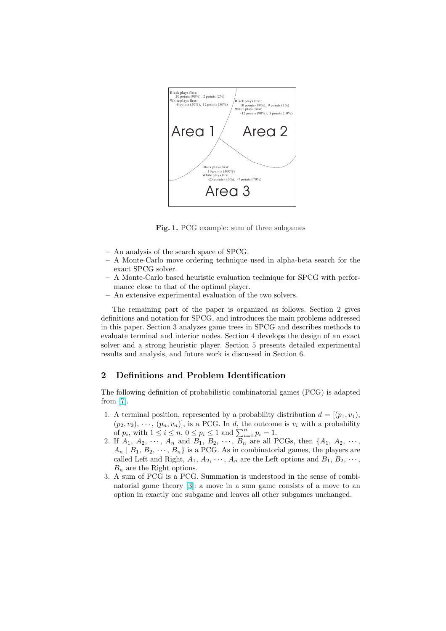

Fig. 1. PCG example: sum of three subgames

- An analysis of the search space of SPCG.
- A Monte-Carlo move ordering technique used in alpha-beta search for the exact SPCG solver.
- A Monte-Carlo based heuristic evaluation technique for SPCG with performance close to that of the optimal player.
- An extensive experimental evaluation of the two solvers.

The remaining part of the paper is organized as follows. Section 2 gives definitions and notation for SPCG, and introduces the main problems addressed in this paper. Section 3 analyzes game trees in SPCG and describes methods to evaluate terminal and interior nodes. Section 4 develops the design of an exact solver and a strong heuristic player. Section 5 presents detailed experimental results and analysis, and future work is discussed in Section 6.

# 2 Definitions and Problem Identification

The following definition of probabilistic combinatorial games (PCG) is adapted from [7].

- 1. A terminal position, represented by a probability distribution  $d = [(p_1, v_1)]$ ,  $(p_2, v_2), \cdots, (p_n, v_n)$ , is a PCG. In d, the outcome is  $v_i$  with a probability  $(p_2, v_2), \dots, (p_n, v_n)],$  is a PUG. In a, the outcomposition of  $p_i$ , with  $1 \leq i \leq n$ ,  $0 \leq p_i \leq 1$  and  $\sum_{i=1}^n p_i = 1$ .
- 2. If  $A_1, A_2, \cdots, A_n$  $A_1, A_2, \cdots, A_n$  and  $B_1, B_2, \cdots, B_n$  are all PCGs, then  $\{A_1, A_2, \cdots, A_n\}$  $A_n | B_1, B_2, \dots, B_n$  is a PCG. As in combinatorial games, the players are called Left and Right,  $A_1, A_2, \cdots, A_n$  are the Left options and  $B_1, B_2, \cdots$ ,  $B_n$  are the Right options.
- 3. A sum of PCG is a PCG. Summation is understood in the sense of combinatorial game theory [3]: a move in a sum game consists of a move to an option in exactly one subgame and leaves all other subgames unchanged.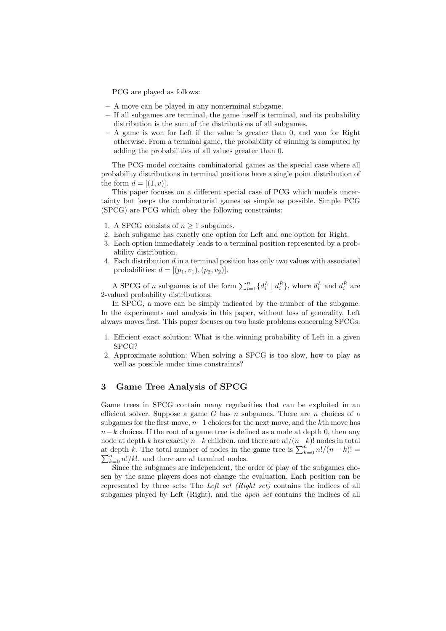PCG are played as follows:

- A move can be played in any nonterminal subgame.
- If all subgames are terminal, the game itself is terminal, and its probability distribution is the sum of the distributions of all subgames.
- A game is won for Left if the value is greater than 0, and won for Right otherwise. From a terminal game, the probability of winning is computed by adding the probabilities of all values greater than 0.

The PCG model contains combinatorial games as the special case where all probability distributions in terminal positions have a single point distribution of the form  $d = [(1, v)].$ 

This paper focuses on a different special case of PCG which models uncertainty but keeps the combinatorial games as simple as possible. Simple PCG (SPCG) are PCG which obey the following constraints:

- 1. A SPCG consists of  $n \geq 1$  subgames.
- 2. Each subgame has exactly one option for Left and one option for Right.
- 3. Each option immediately leads to a terminal position represented by a probability distribution.
- 4. Each distribution d in a terminal position has only two values with associated probabilities:  $d = [(p_1, v_1), (p_2, v_2)].$

A SPCG of *n* subgames is of the form  $\sum_{i=1}^{n} \{d_i^L | d_i^R\}$ , where  $d_i^L$  and  $d_i^R$  are 2-valued probability distributions.

In SPCG, a move can be simply indicated by the number of the subgame. In the experiments and analysis in this paper, without loss of generality, Left always moves first. This paper focuses on two basic problems concerning SPCGs:

- 1. Efficient exact solution: What is the winning probability of Left in a given SPCG?
- 2. Approximate solution: When solving a SPCG is too slow, how to play as well as possible under time constraints?

## 3 Game Tree Analysis of SPCG

Game trees in SPCG contain many regularities that can be exploited in an efficient solver. Suppose a game G has  $n$  subgames. There are  $n$  choices of a subgames for the first move,  $n-1$  choices for the next move, and the kth move has  $n-k$  choices. If the root of a game tree is defined as a node at depth 0, then any node at depth k has exactly  $n-k$  children, and there are  $n!/(n-k)!$  nodes in total hode at depth k has exactly  $n-k$  children, and there are  $n!/(n-k)!$  hodes in total<br>at depth k. The total number of nodes in the game tree is  $\sum_{k=0}^{n} n!/(n-k)!$  =  $\sum_{k=0}^{n} n!/k!$ , and there are n! terminal nodes.

Since the subgames are independent, the order of play of the subgames chosen by the same players does not change the evaluation. Each position can be represented by three sets: The Left set (Right set) contains the indices of all subgames played by Left (Right), and the *open set* contains the indices of all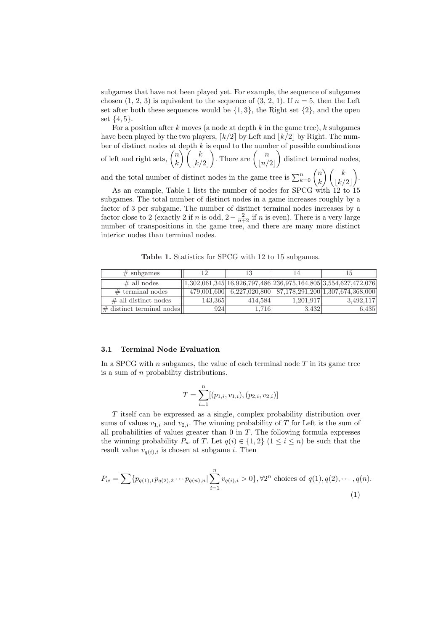subgames that have not been played yet. For example, the sequence of subgames chosen  $(1, 2, 3)$  is equivalent to the sequence of  $(3, 2, 1)$ . If  $n = 5$ , then the Left set after both these sequences would be  $\{1,3\}$ , the Right set  $\{2\}$ , and the open set  $\{4, 5\}.$ 

For a position after k moves (a node at depth k in the game tree), k subgames have been played by the two players,  $\lceil k/2 \rceil$  by Left and  $\lceil k/2 \rceil$  by Right. The number of distinct nodes at depth  $k$  is equal to the number of possible combinations ber of distinct nodes at  $\frac{1}{n}$ <br>of left and right sets,  $\binom{n}{n}$ k depth  $k \atop \backslash$   $\int \; k$  $|k/2|$  $\begin{pmatrix} \text{equal to the num} \\ \text{There are } \begin{pmatrix} n \\ \text{true} \end{pmatrix} \end{pmatrix}$  $\lfloor n/2 \rfloor$  $\mathbf{r}$ distinct terminal nodes, and the total number of distinct nodes in the game tree is  $\sum_{k=0}^{n} \binom{n}{k}$ k  $\bigwedge$  / k  $|k/2|$  $\mathbf{r}$ . As an example, Table 1 lists the number of nodes for SPCG with  $12$  to  $15$ 

subgames. The total number of distinct nodes in a game increases roughly by a factor of 3 per subgame. The number of distinct terminal nodes increases by a factor close to 2 (exactly 2 if n is odd,  $2 - \frac{2}{n+2}$  if n is even). There is a very large number of transpositions in the game tree, and there are many more distinct interior nodes than terminal nodes.

Table 1. Statistics for SPCG with 12 to 15 subgames.

| $\#$ subgames                | 12          | 13      |           |                                                                |  |
|------------------------------|-------------|---------|-----------|----------------------------------------------------------------|--|
| $\#$ all nodes               |             |         |           | 1,302,061,345 16,926,797,486 236,975,164,805 3,554,627,472,076 |  |
| $#$ terminal nodes           | 479,001,600 |         |           | $6,227,020,800$ $87,178,291,200$ $1,307,674,368,000$           |  |
| $\#$ all distinct nodes      | 143,365     | 414.584 | 1,201,917 | 3,492,117                                                      |  |
| $\#$ distinct terminal nodes | 924         | 1,716   | 3.432     | 6,435                                                          |  |

#### 3.1 Terminal Node Evaluation

In a SPCG with  $n$  subgames, the value of each terminal node  $T$  in its game tree is a sum of  $n$  probability distributions.

$$
T = \sum_{i=1}^{n} [(p_{1,i}, v_{1,i}), (p_{2,i}, v_{2,i})]
$$

T itself can be expressed as a single, complex probability distribution over sums of values  $v_{1,i}$  and  $v_{2,i}$ . The winning probability of T for Left is the sum of all probabilities of values greater than  $0$  in  $T$ . The following formula expresses the winning probability  $P_w$  of T. Let  $q(i) \in \{1,2\}$   $(1 \leq i \leq n)$  be such that the result value  $v_{q(i),i}$  is chosen at subgame *i*. Then

$$
P_w = \sum \{ p_{q(1),1} p_{q(2),2} \cdots p_{q(n),n} | \sum_{i=1}^n v_{q(i),i} > 0 \}, \forall 2^n \text{ choices of } q(1), q(2), \cdots, q(n).
$$
\n(1)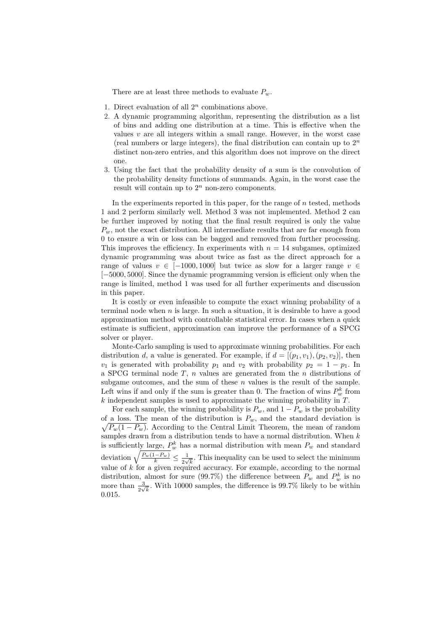There are at least three methods to evaluate  $P_w$ .

- 1. Direct evaluation of all  $2^n$  combinations above.
- 2. A dynamic programming algorithm, representing the distribution as a list of bins and adding one distribution at a time. This is effective when the values  $v$  are all integers within a small range. However, in the worst case (real numbers or large integers), the final distribution can contain up to  $2<sup>n</sup>$ distinct non-zero entries, and this algorithm does not improve on the direct one.
- 3. Using the fact that the probability density of a sum is the convolution of the probability density functions of summands. Again, in the worst case the result will contain up to  $2^n$  non-zero components.

In the experiments reported in this paper, for the range of  $n$  tested, methods 1 and 2 perform similarly well. Method 3 was not implemented. Method 2 can be further improved by noting that the final result required is only the value  $P_w$ , not the exact distribution. All intermediate results that are far enough from 0 to ensure a win or loss can be bagged and removed from further processing. This improves the efficiency. In experiments with  $n = 14$  subgames, optimized dynamic programming was about twice as fast as the direct approach for a range of values  $v \in [-1000, 1000]$  but twice as slow for a larger range  $v \in$ [−5000, 5000]. Since the dynamic programming version is efficient only when the range is limited, method 1 was used for all further experiments and discussion in this paper.

It is costly or even infeasible to compute the exact winning probability of a terminal node when  $n$  is large. In such a situation, it is desirable to have a good approximation method with controllable statistical error. In cases when a quick estimate is sufficient, approximation can improve the performance of a SPCG solver or player.

Monte-Carlo sampling is used to approximate winning probabilities. For each distribution d, a value is generated. For example, if  $d = [(p_1, v_1), (p_2, v_2)]$ , then  $v_1$  is generated with probability  $p_1$  and  $v_2$  with probability  $p_2 = 1 - p_1$ . In a SPCG terminal node  $T$ ,  $n$  values are generated from the  $n$  distributions of subgame outcomes, and the sum of these  $n$  values is the result of the sample. Left wins if and only if the sum is greater than 0. The fraction of wins  $P_w^k$  from  $k$  independent samples is used to approximate the winning probability in  $T$ .

For each sample, the winning probability is  $P_w$ , and  $1 - P_w$  is the probability of a loss. The mean of the distribution is  $P_w$ , and the standard deviation is  $\sqrt{P_w(1-P_w)}$ . According to the Central Limit Theorem, the mean of random samples drawn from a distribution tends to have a normal distribution. When  $k$ is sufficiently large,  $P_w^k$  has a normal distribution with mean  $P_w$  and standard allow the sum of  $\sqrt{\frac{P_w(1-P_w)}{k}} \leq \frac{1}{2\sqrt{k}}$  $\frac{1}{2\sqrt{k}}$ . This inequality can be used to select the minimum value of  $k$  for a given required accuracy. For example, according to the normal distribution, almost for sure (99.7%) the difference between  $P_w$  and  $P_w^k$  is no more than  $\frac{3}{2\sqrt{k}}$ . With 10000 samples, the difference is 99.7% likely to be within 0.015.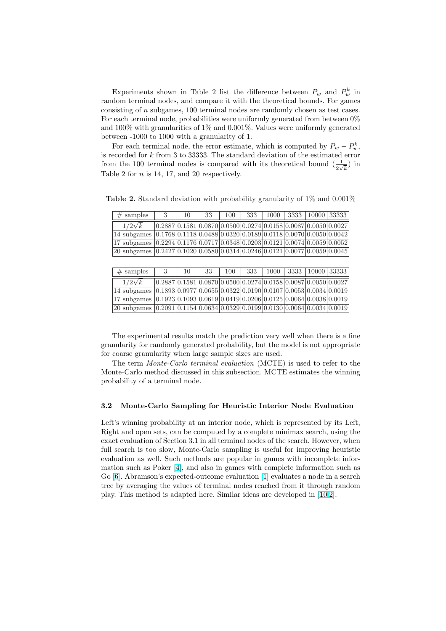Experiments shown in Table 2 list the difference between  $P_w$  and  $P_w^k$  in random terminal nodes, and compare it with the theoretical bounds. For games consisting of n subgames, 100 terminal nodes are randomly chosen as test cases. For each terminal node, probabilities were uniformly generated from between 0% and 100% with granularities of 1% and 0.001%. Values were uniformly generated between -1000 to 1000 with a granularity of 1.

For each terminal node, the error estimate, which is computed by  $P_w - P_w^k$ , is recorded for k from 3 to 33333. The standard deviation of the estimated error from the 100 terminal nodes is compared with its theoretical bound  $(\frac{1}{2\sqrt{k}})$  in Table 2 for n is 14, 17, and 20 respectively.

| $#$ samples                                                                                                                                                 |                                                                   | 10 | -33 | 100 | 333 |  | $1000$   3333   10000   33333 |  |
|-------------------------------------------------------------------------------------------------------------------------------------------------------------|-------------------------------------------------------------------|----|-----|-----|-----|--|-------------------------------|--|
| $1/2\sqrt{k}$                                                                                                                                               | $(0.2887)0.1581 0.0870 0.0500 0.0274 0.0158 0.0087 0.0050 0.0027$ |    |     |     |     |  |                               |  |
| $\boxed{14 \text{ subgames}}\boxed{0.1768}\boxed{0.1118}\boxed{0.0488}\boxed{0.0320}\boxed{0.0189}\boxed{0.0118}\boxed{0.0070}\boxed{0.0050}\boxed{0.0042}$ |                                                                   |    |     |     |     |  |                               |  |
| $\frac{17 \text{ subgames}}{0.2294}$ 0.1176 0.0717 0.0348 0.0203 0.0121 0.0074 0.0059 0.0052                                                                |                                                                   |    |     |     |     |  |                               |  |
| $20$ subgames $(0.2427 \mid 0.1020 \mid 0.0580 \mid 0.0314 \mid 0.0246 \mid 0.0121 \mid 0.0077 \mid 0.0059 \mid 0.0045$                                     |                                                                   |    |     |     |     |  |                               |  |

Table 2. Standard deviation with probability granularity of 1% and 0.001%

| $\#$ samples $  $ 3                                                                                                                                                 |                                                                    | 10 | 33 l | 100 | $333$ |  | $\boxed{1000}$ $\boxed{3333}$ $\boxed{10000}$ $\boxed{33333}$ |  |
|---------------------------------------------------------------------------------------------------------------------------------------------------------------------|--------------------------------------------------------------------|----|------|-----|-------|--|---------------------------------------------------------------|--|
| $1/2\sqrt{k}$                                                                                                                                                       | $(0.2887)0.1581 0.0870 0.0500 0.0274 0.0158 0.0087 0.0050 0.0027)$ |    |      |     |       |  |                                                               |  |
| $\frac{14 \text{ subgames}}{0.1893}$ 0.0977 0.0655 0.0322 0.0190 0.0107 0.0053 0.0034 0.0019                                                                        |                                                                    |    |      |     |       |  |                                                               |  |
| $\frac{17 \text{ subgames}}{0.1923}$ 0.1093 0.0619 0.0419 0.0206 0.0125 0.0064 0.0038 0.0019                                                                        |                                                                    |    |      |     |       |  |                                                               |  |
| $\boxed{20 \text{ subgames} \boxed{0.2091} \boxed{0.1154} \boxed{0.0634} \boxed{0.0329} \boxed{0.0199} \boxed{0.0130} \boxed{0.0064} \boxed{0.0034} \boxed{0.0019}$ |                                                                    |    |      |     |       |  |                                                               |  |

The experimental results match the prediction very well when there is a fine granularity for randomly generated probability, but the model is not appropriate for coarse granularity when large sample sizes are used.

The term Monte-Carlo terminal evaluation (MCTE) is used to refer to the Monte-Carlo method discussed in this subsection. MCTE estimates the winning probability of a terminal node.

#### 3.2 Monte-Carlo Sampling for Heuristic Interior Node Evaluation

Left's winning probability at an interior node, which is represented by its Left, Right and open sets, can be computed by a complete minimax search, using the exact evaluation of Section 3.1 in all terminal nodes of the search. However, when full search is too slow, Monte-Carlo sampling is useful for improving heuristic evaluation as well. Such methods are popular in games with incomplete information such as Poker [4], and also in games with complete information such as Go [6]. Abramson's expected-outcome evaluation [1] evaluates a node in a search tree by averaging the values of terminal nodes reached from it through random play. This method is adapted here. Similar ideas are developed in [10,2].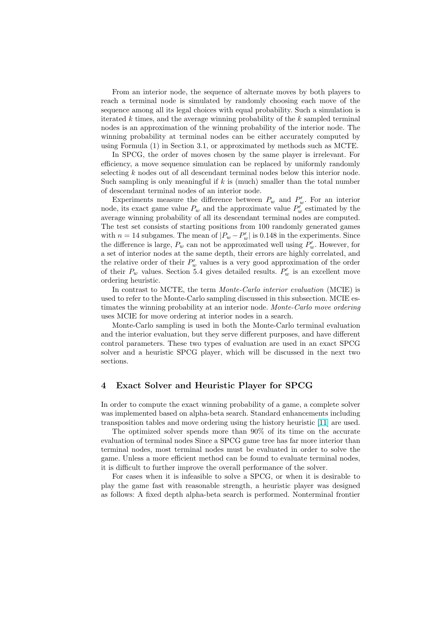From an interior node, the sequence of alternate moves by both players to reach a terminal node is simulated by randomly choosing each move of the sequence among all its legal choices with equal probability. Such a simulation is iterated  $k$  times, and the average winning probability of the  $k$  sampled terminal nodes is an approximation of the winning probability of the interior node. The winning probability at terminal nodes can be either accurately computed by using Formula (1) in Section 3.1, or approximated by methods such as MCTE.

In SPCG, the order of moves chosen by the same player is irrelevant. For efficiency, a move sequence simulation can be replaced by uniformly randomly selecting k nodes out of all descendant terminal nodes below this interior node. Such sampling is only meaningful if  $k$  is (much) smaller than the total number of descendant terminal nodes of an interior node.

Experiments measure the difference between  $P_w$  and  $P'_w$ . For an interior node, its exact game value  $P_w$  and the approximate value  $P'_w$  estimated by the average winning probability of all its descendant terminal nodes are computed. The test set consists of starting positions from 100 randomly generated games with  $n = 14$  subgames. The mean of  $|P_w - P'_w|$  is 0.148 in the experiments. Since the difference is large,  $P_w$  can not be approximated well using  $P'_w$ . However, for a set of interior nodes at the same depth, their errors are highly correlated, and the relative order of their  $P'_w$  values is a very good approximation of the order of their  $P_w$  values. Section 5.4 gives detailed results.  $P'_w$  is an excellent move ordering heuristic.

In contrast to MCTE, the term Monte-Carlo interior evaluation (MCIE) is used to refer to the Monte-Carlo sampling discussed in this subsection. MCIE estimates the winning probability at an interior node. Monte-Carlo move ordering uses MCIE for move ordering at interior nodes in a search.

Monte-Carlo sampling is used in both the Monte-Carlo terminal evaluation and the interior evaluation, but they serve different purposes, and have different control parameters. These two types of evaluation are used in an exact SPCG solver and a heuristic SPCG player, which will be discussed in the next two sections.

## 4 Exact Solver and Heuristic Player for SPCG

In order to compute the exact winning probability of a game, a complete solver was implemented based on alpha-beta search. Standard enhancements including transposition tables and move ordering using the history heuristic [11] are used.

The optimized solver spends more than 90% of its time on the accurate evaluation of terminal nodes Since a SPCG game tree has far more interior than terminal nodes, most terminal nodes must be evaluated in order to solve the game. Unless a more efficient method can be found to evaluate te[rmin](#page-13-0)al nodes, it is difficult to further improve the overall performance of the solver.

For cases when it is infeasible to solve a SPCG, or when it is desirable to play the game fast with reasonable strength, a heuristic player was designed as follows: A fixed depth alpha-beta search is performed. Nonterminal frontier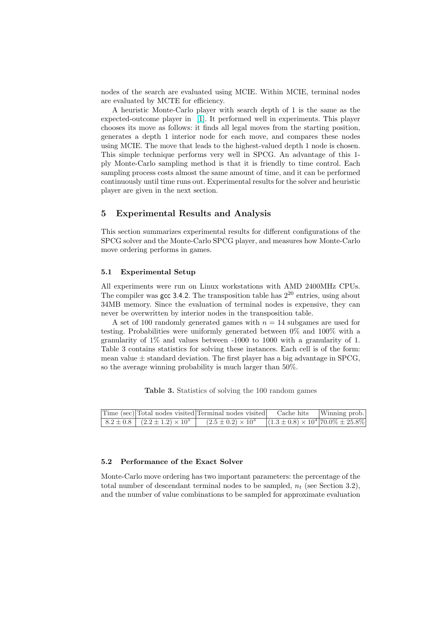nodes of the search are evaluated using MCIE. Within MCIE, terminal nodes are evaluated by MCTE for efficiency.

A heuristic Monte-Carlo player with search depth of 1 is the same as the expected-outcome player in [1]. It performed well in experiments. This player chooses its move as follows: it finds all legal moves from the starting position, generates a depth 1 interior node for each move, and compares these nodes using MCIE. The move that leads to the highest-valued depth 1 node is chosen. This simple technique perfor[m](#page-13-0)s very well in SPCG. An advantage of this 1 ply Monte-Carlo sampling method is that it is friendly to time control. Each sampling process costs almost the same amount of time, and it can be performed continuously until time runs out. Experimental results for the solver and heuristic player are given in the next section.

## 5 Experimental Results and Analysis

This section summarizes experimental results for different configurations of the SPCG solver and the Monte-Carlo SPCG player, and measures how Monte-Carlo move ordering performs in games.

#### 5.1 Experimental Setup

All experiments were run on Linux workstations with AMD 2400MHz CPUs. The compiler was gcc 3.4.2. The transposition table has  $2^{20}$  entries, using about 34MB memory. Since the evaluation of terminal nodes is expensive, they can never be overwritten by interior nodes in the transposition table.

A set of 100 randomly generated games with  $n = 14$  subgames are used for testing. Probabilities were uniformly generated between 0% and 100% with a granularity of 1% and values between -1000 to 1000 with a granularity of 1. Table 3 contains statistics for solving these instances. Each cell is of the form: mean value  $\pm$  standard deviation. The first player has a big advantage in SPCG, so the average winning probability is much larger than 50%.

Table 3. Statistics of solving the 100 random games

|                                              |                             | Time (sec) Total nodes visited Terminal nodes visited Cache hits Winning prob. |  |
|----------------------------------------------|-----------------------------|--------------------------------------------------------------------------------|--|
| $ 8.2 \pm 0.8   (2.2 \pm 1.2) \times 10^5  $ | $(2.5 \pm 0.2) \times 10^3$ | $(1.3 \pm 0.8) \times 10^4$ 70.0% $\pm 25.8\%$                                 |  |

#### 5.2 Performance of the Exact Solver

Monte-Carlo move ordering has two important parameters: the percentage of the total number of descendant terminal nodes to be sampled,  $n_t$  (see Section 3.2), and the number of value combinations to be sampled for approximate evaluation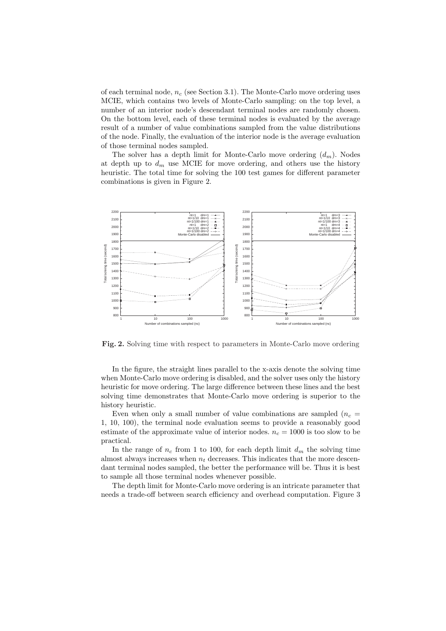of each terminal node,  $n_c$  (see Section 3.1). The Monte-Carlo move ordering uses MCIE, which contains two levels of Monte-Carlo sampling: on the top level, a number of an interior node's descendant terminal nodes are randomly chosen. On the bottom level, each of these terminal nodes is evaluated by the average result of a number of value combinations sampled from the value distributions of the node. Finally, the evaluation of the interior node is the average evaluation of those terminal nodes sampled.

The solver has a depth limit for Monte-Carlo move ordering  $(d_m)$ . Nodes at depth up to  $d_m$  use MCIE for move ordering, and others use the history heuristic. The total time for solving the 100 test games for different parameter combinations is given in Figure 2.



Fig. 2. Solving time with respect to parameters in Monte-Carlo move ordering

In the figure, the straight lines parallel to the x-axis denote the solving time when Monte-Carlo move ordering is disabled, and the solver uses only the history heuristic for move ordering. The large difference between these lines and the best solving time demonstrates that Monte-Carlo move ordering is superior to the history heuristic.

Even when only a small number of value combinations are sampled  $(n_c =$ 1, 10, 100), the terminal node evaluation seems to provide a reasonably good estimate of the approximate value of interior nodes.  $n_c = 1000$  is too slow to be practical.

In the range of  $n_c$  from 1 to 100, for each depth limit  $d_m$  the solving time almost always increases when  $n_t$  decreases. This indicates that the more descendant terminal nodes sampled, the better the performance will be. Thus it is best to sample all those terminal nodes whenever possible.

The depth limit for Monte-Carlo move ordering is an intricate parameter that needs a trade-off between search efficiency and overhead computation. Figure 3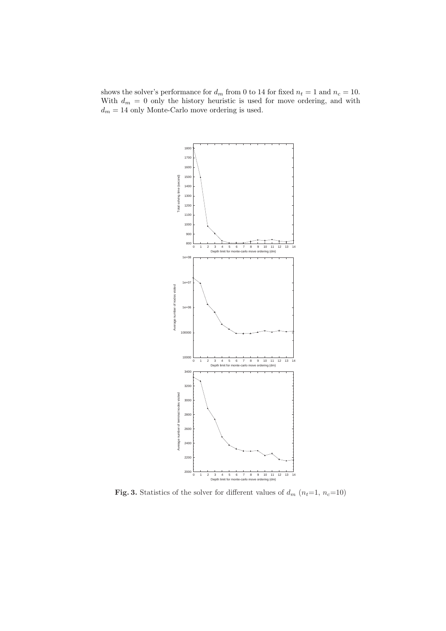shows the solver's performance for  $d_m$  from 0 to 14 for fixed  $n_t = 1$  and  $n_c = 10$ . With  $d_m = 0$  only the history heuristic is used for move ordering, and with  $d_m = 14$  only Monte-Carlo move ordering is used.



Fig. 3. Statistics of the solver for different values of  $d_m$   $(n_t=1, n_c=10)$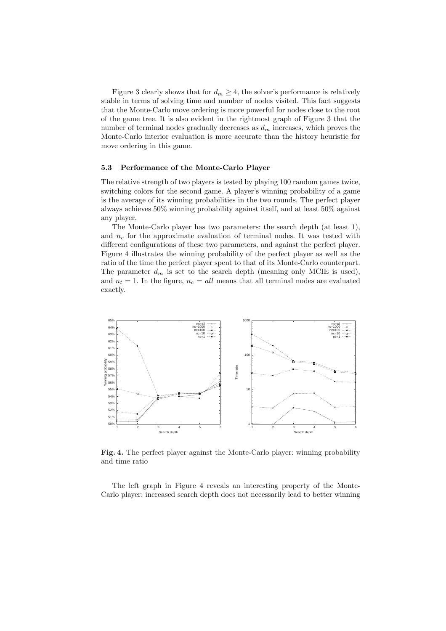Figure 3 clearly shows that for  $d_m \geq 4$ , the solver's performance is relatively stable in terms of solving time and number of nodes visited. This fact suggests that the Monte-Carlo move ordering is more powerful for nodes close to the root of the game tree. It is also evident in the rightmost graph of Figure 3 that the number of terminal nodes gradually decreases as  $d_m$  increases, which proves the Monte-Carlo interior evaluation is more accurate than the history heuristic for move ordering in this game.

#### 5.3 Performance of the Monte-Carlo Player

The relative strength of two players is tested by playing 100 random games twice, switching colors for the second game. A player's winning probability of a game is the average of its winning probabilities in the two rounds. The perfect player always achieves 50% winning probability against itself, and at least 50% against any player.

The Monte-Carlo player has two parameters: the search depth (at least 1), and  $n_c$  for the approximate evaluation of terminal nodes. It was tested with different configurations of these two parameters, and against the perfect player. Figure 4 illustrates the winning probability of the perfect player as well as the ratio of the time the perfect player spent to that of its Monte-Carlo counterpart. The parameter  $d_m$  is set to the search depth (meaning only MCIE is used), and  $n_t = 1$ . In the figure,  $n_c = all$  means that all terminal nodes are evaluated exactly.



Fig. 4. The perfect player against the Monte-Carlo player: winning probability and time ratio

The left graph in Figure 4 reveals an interesting property of the Monte-Carlo player: increased search depth does not necessarily lead to better winning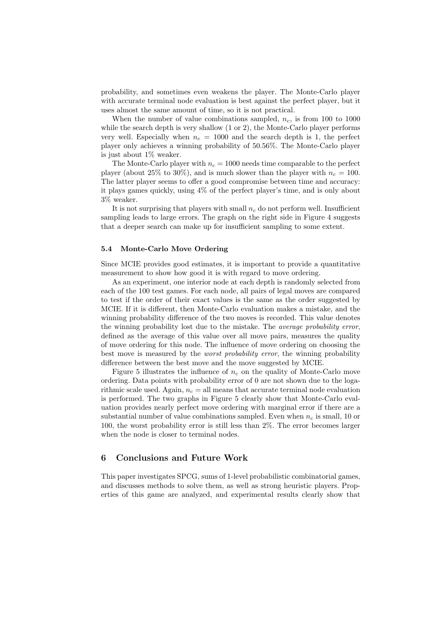probability, and sometimes even weakens the player. The Monte-Carlo player with accurate terminal node evaluation is best against the perfect player, but it uses almost the same amount of time, so it is not practical.

When the number of value combinations sampled,  $n_c$ , is from 100 to 1000 while the search depth is very shallow  $(1 \text{ or } 2)$ , the Monte-Carlo player performs very well. Especially when  $n_c = 1000$  and the search depth is 1, the perfect player only achieves a winning probability of 50.56%. The Monte-Carlo player is just about 1% weaker.

The Monte-Carlo player with  $n_c = 1000$  needs time comparable to the perfect player (about 25% to 30%), and is much slower than the player with  $n_c = 100$ . The latter player seems to offer a good compromise between time and accuracy: it plays games quickly, using 4% of the perfect player's time, and is only about 3% weaker.

It is not surprising that players with small  $n_c$  do not perform well. Insufficient sampling leads to large errors. The graph on the right side in Figure 4 suggests that a deeper search can make up for insufficient sampling to some extent.

#### 5.4 Monte-Carlo Move Ordering

Since MCIE provides good estimates, it is important to provide a quantitative measurement to show how good it is with regard to move ordering.

As an experiment, one interior node at each depth is randomly selected from each of the 100 test games. For each node, all pairs of legal moves are compared to test if the order of their exact values is the same as the order suggested by MCIE. If it is different, then Monte-Carlo evaluation makes a mistake, and the winning probability difference of the two moves is recorded. This value denotes the winning probability lost due to the mistake. The average probability error, defined as the average of this value over all move pairs, measures the quality of move ordering for this node. The influence of move ordering on choosing the best move is measured by the worst probability error, the winning probability difference between the best move and the move suggested by MCIE.

Figure 5 illustrates the influence of  $n_c$  on the quality of Monte-Carlo move ordering. Data points with probability error of 0 are not shown due to the logarithmic scale used. Again,  $n_c =$  all means that accurate terminal node evaluation is performed. The two graphs in Figure 5 clearly show that Monte-Carlo evaluation provides nearly perfect move ordering with marginal error if there are a substantial number of value combinations sampled. Even when  $n_c$  is small, 10 or 100, the worst probability error is still less than 2%. The error becomes larger when the node is closer to terminal nodes.

## 6 Conclusions and Future Work

This paper investigates SPCG, sums of 1-level probabilistic combinatorial games, and discusses methods to solve them, as well as strong heuristic players. Properties of this game are analyzed, and experimental results clearly show that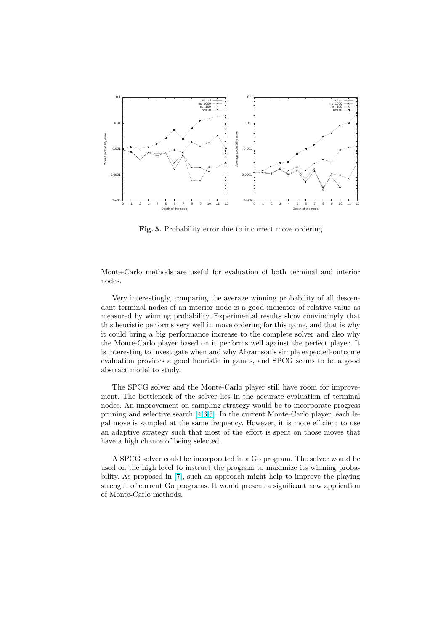

Fig. 5. Probability error due to incorrect move ordering

Monte-Carlo methods are useful for evaluation of both terminal and interior nodes.

Very interestingly, comparing the average winning probability of all descendant terminal nodes of an interior node is a good indicator of relative value as measured by winning probability. Experimental results show convincingly that this heuristic performs very well in move ordering for this game, and that is why it could bring a big performance increase to the complete solver and also why the Monte-Carlo player based on it performs well against the perfect player. It is interesting to investigate when and why Abramson's simple expected-outcome evaluation provides a good heuristic in games, and SPCG seems to be a good abstract model to study.

The SPCG solver and the Monte-Carlo player still have room for improvement. The bottleneck of the solver lies in the accurate evaluation of terminal nodes. An improvement on sampling strategy would be to incorporate progress pruning and selective search [4,6,5]. In the current Monte-Carlo player, each legal move is sampled at the same frequency. However, it is more efficient to use an adaptive strategy such that most of the effort is spent on those moves that have a high chance of being selected.

A SPCG solver could be incorporated in a Go program. The solver would be used on the high level to instruct the program to maximize its winning probability. As proposed in [7], such an approach might help to improve the playing strength of current Go programs. It would present a significant new application of Monte-Carlo methods.